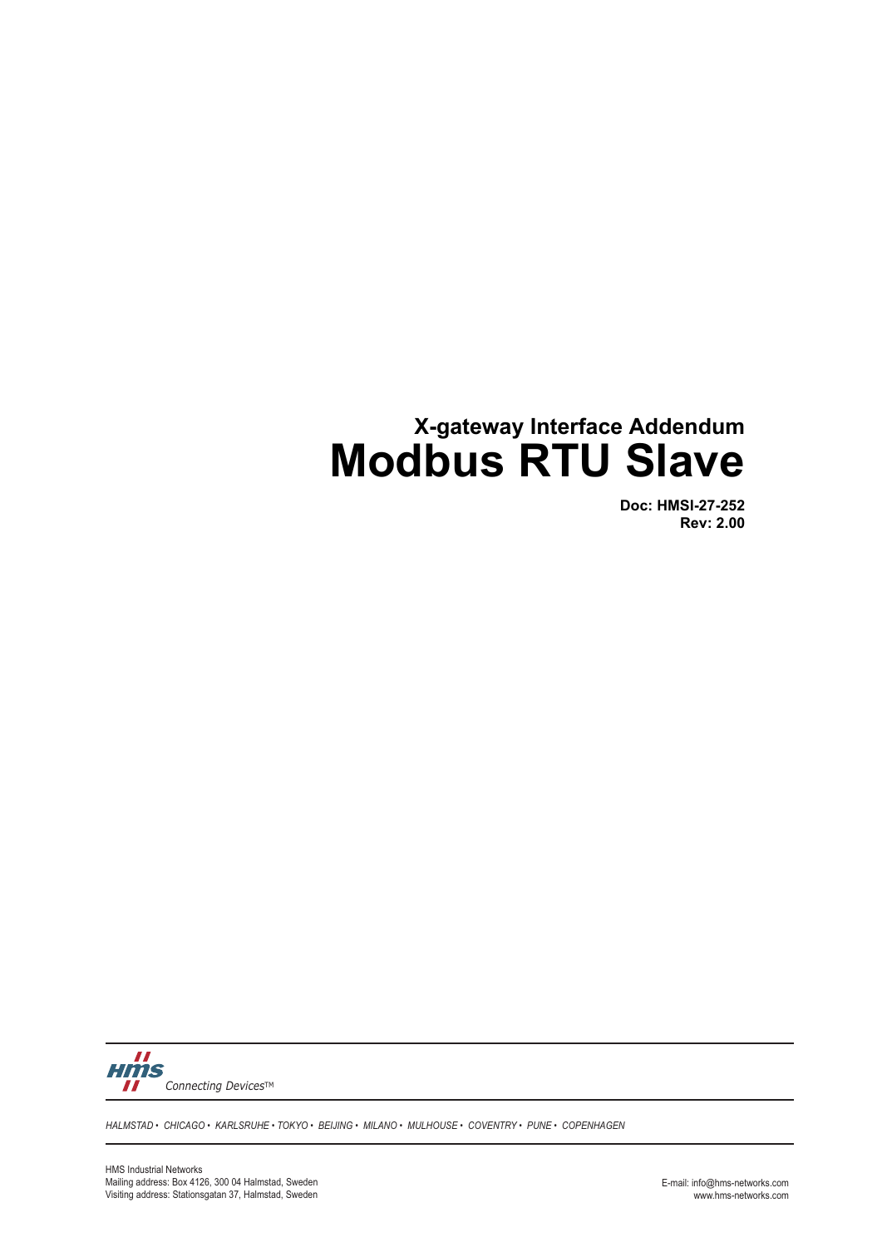# **X-gateway Interface Addendum Modbus RTU Slave**

**Doc: HMSI-27-252 Rev: 2.00**



*HALMSTAD • CHICAGO • KARLSRUHE • TOKYO • BEIJING • MILANO • MULHOUSE • COVENTRY • PUNE • COPENHAGEN*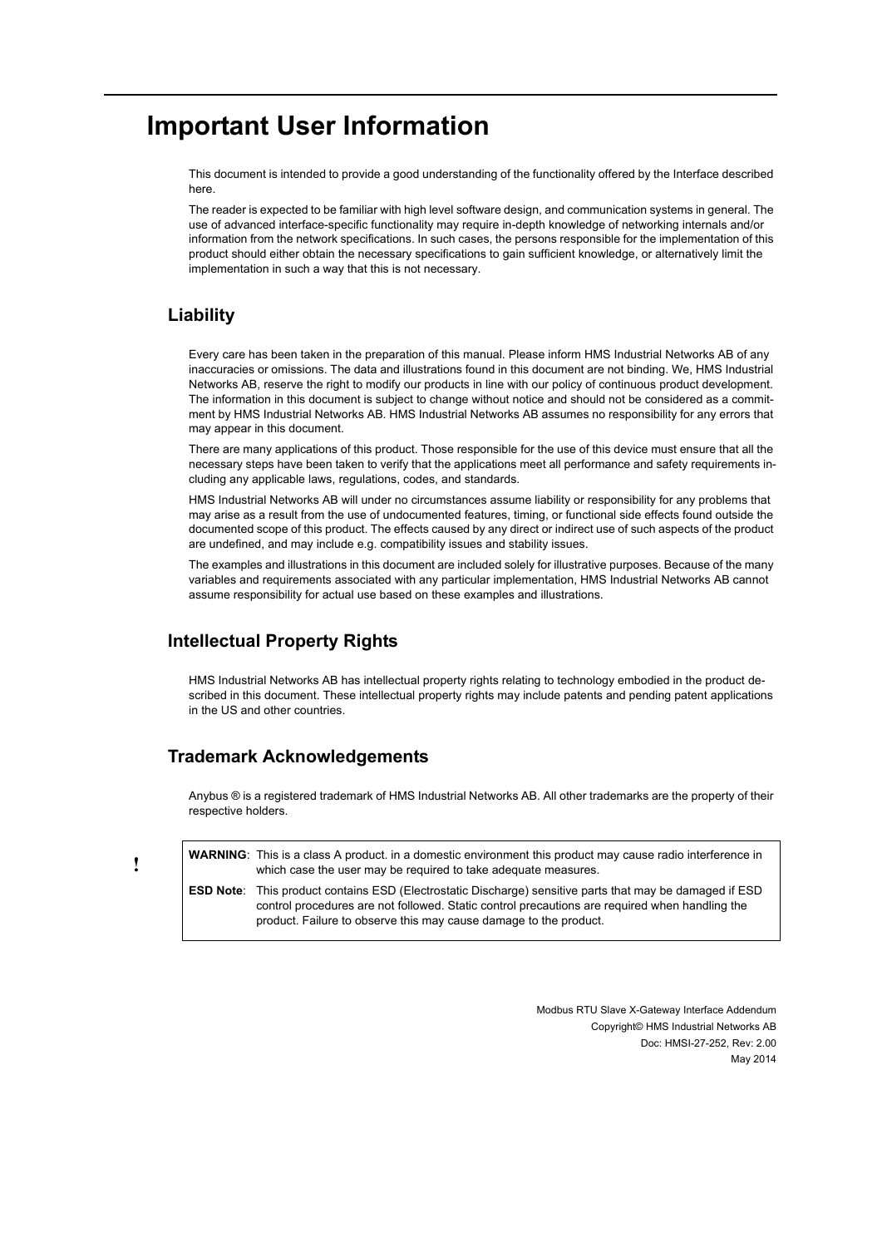# **Important User Information**

This document is intended to provide a good understanding of the functionality offered by the Interface described here.

The reader is expected to be familiar with high level software design, and communication systems in general. The use of advanced interface-specific functionality may require in-depth knowledge of networking internals and/or information from the network specifications. In such cases, the persons responsible for the implementation of this product should either obtain the necessary specifications to gain sufficient knowledge, or alternatively limit the implementation in such a way that this is not necessary.

#### **Liability**

Every care has been taken in the preparation of this manual. Please inform HMS Industrial Networks AB of any inaccuracies or omissions. The data and illustrations found in this document are not binding. We, HMS Industrial Networks AB, reserve the right to modify our products in line with our policy of continuous product development. The information in this document is subject to change without notice and should not be considered as a commitment by HMS Industrial Networks AB. HMS Industrial Networks AB assumes no responsibility for any errors that may appear in this document.

There are many applications of this product. Those responsible for the use of this device must ensure that all the necessary steps have been taken to verify that the applications meet all performance and safety requirements including any applicable laws, regulations, codes, and standards.

HMS Industrial Networks AB will under no circumstances assume liability or responsibility for any problems that may arise as a result from the use of undocumented features, timing, or functional side effects found outside the documented scope of this product. The effects caused by any direct or indirect use of such aspects of the product are undefined, and may include e.g. compatibility issues and stability issues.

The examples and illustrations in this document are included solely for illustrative purposes. Because of the many variables and requirements associated with any particular implementation, HMS Industrial Networks AB cannot assume responsibility for actual use based on these examples and illustrations.

#### **Intellectual Property Rights**

HMS Industrial Networks AB has intellectual property rights relating to technology embodied in the product described in this document. These intellectual property rights may include patents and pending patent applications in the US and other countries.

#### **Trademark Acknowledgements**

Anybus ® is a registered trademark of HMS Industrial Networks AB. All other trademarks are the property of their respective holders.

**WARNING**: This is a class A product. in a domestic environment this product may cause radio interference in which case the user may be required to take adequate measures. **ESD Note**: This product contains ESD (Electrostatic Discharge) sensitive parts that may be damaged if ESD

control procedures are not followed. Static control precautions are required when handling the product. Failure to observe this may cause damage to the product.

> Modbus RTU Slave X-Gateway Interface Addendum Copyright© HMS Industrial Networks AB Doc: HMSI-27-252, Rev: 2.00 May 2014

**!**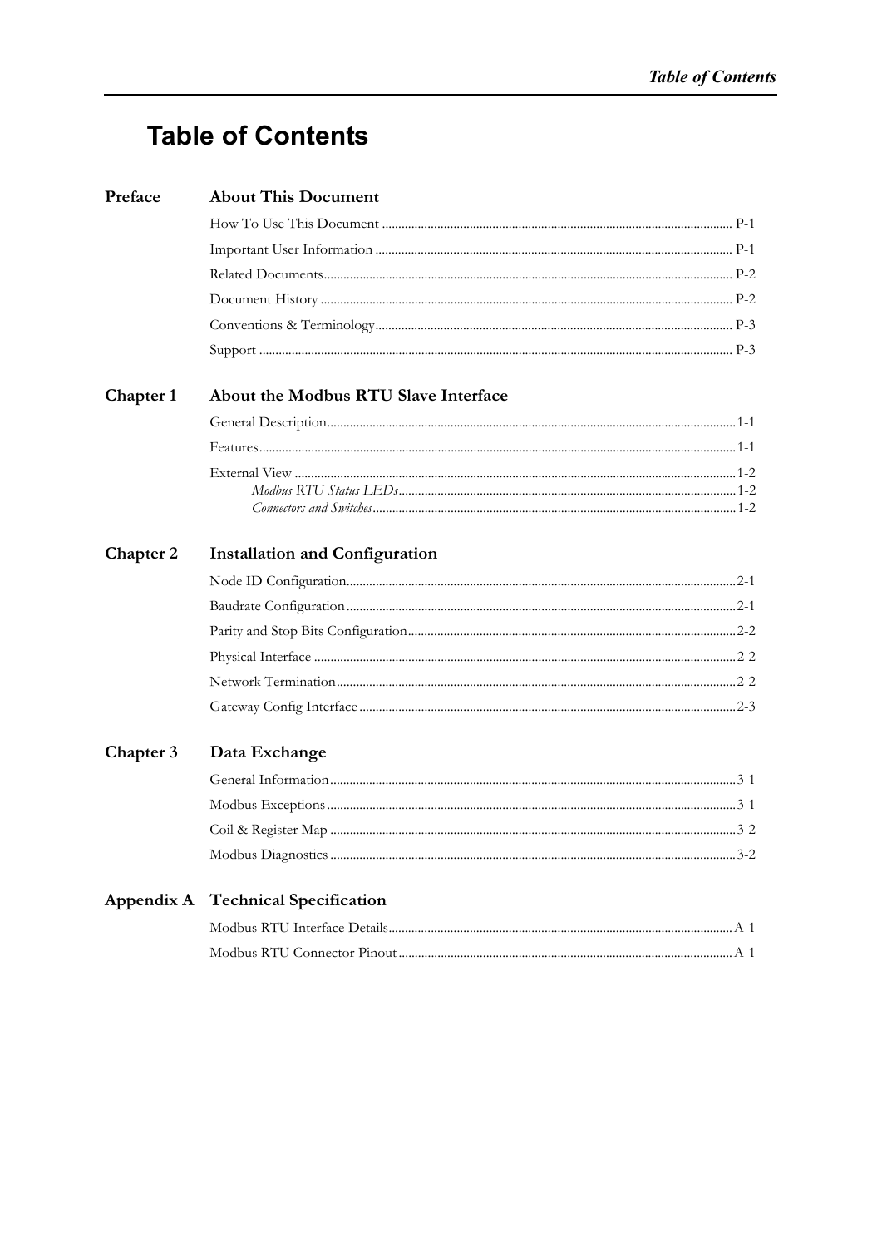# **Table of Contents**

| Preface   | <b>About This Document</b>            |  |
|-----------|---------------------------------------|--|
|           |                                       |  |
|           |                                       |  |
|           |                                       |  |
|           |                                       |  |
|           |                                       |  |
|           |                                       |  |
| Chapter 1 | About the Modbus RTU Slave Interface  |  |
|           |                                       |  |
|           |                                       |  |
|           |                                       |  |
|           |                                       |  |
| Chapter 2 | <b>Installation and Configuration</b> |  |
|           |                                       |  |
|           |                                       |  |
|           |                                       |  |
|           |                                       |  |
|           |                                       |  |
|           |                                       |  |
| Chapter 3 | Data Exchange                         |  |
|           |                                       |  |
|           |                                       |  |
|           |                                       |  |
|           |                                       |  |
|           | Appendix A Technical Specification    |  |
|           |                                       |  |
|           |                                       |  |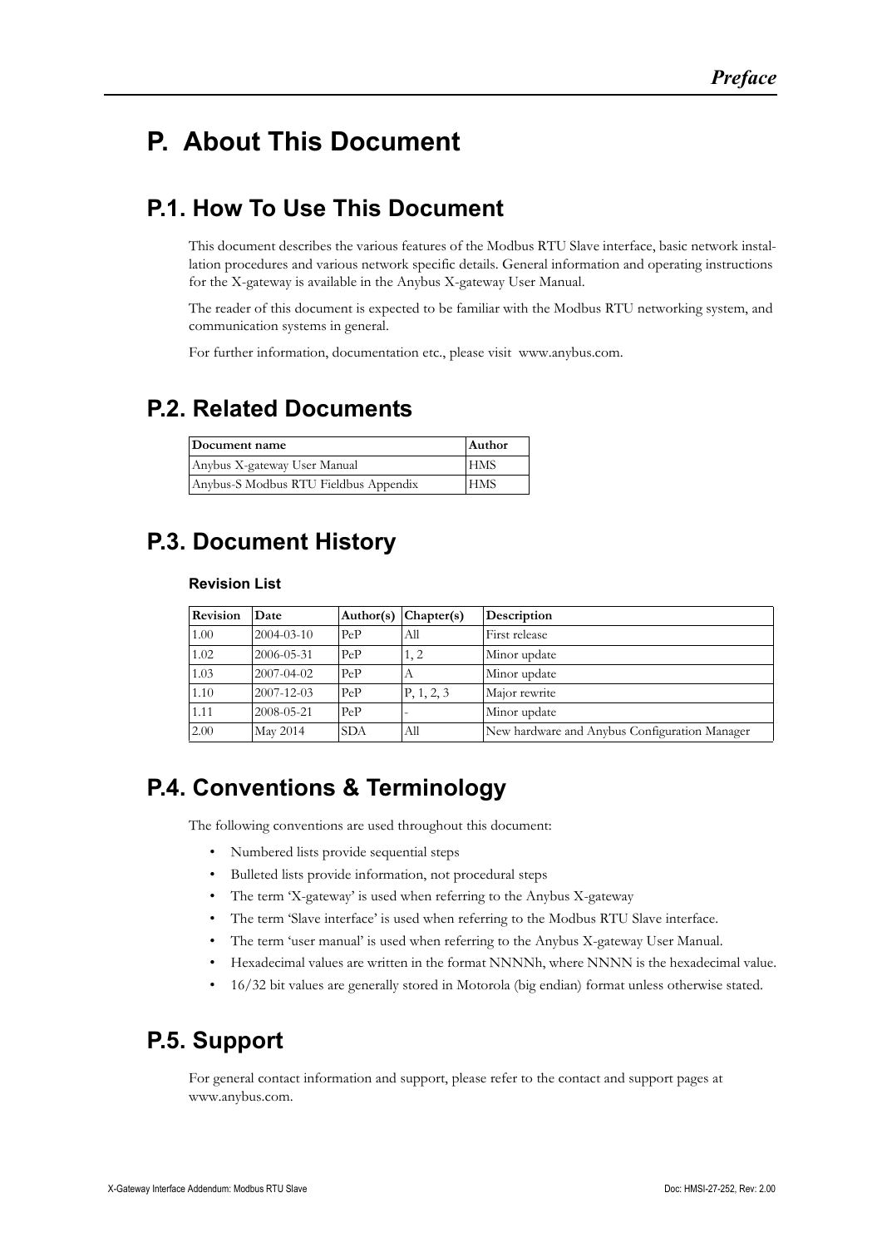# <span id="page-3-1"></span><span id="page-3-0"></span>**P. About This Document**

## <span id="page-3-2"></span>**P.1. How To Use This Document**

This document describes the various features of the Modbus RTU Slave interface, basic network installation procedures and various network specific details. General information and operating instructions for the X-gateway is available in the Anybus X-gateway User Manual.

The reader of this document is expected to be familiar with the Modbus RTU networking system, and communication systems in general.

For further information, documentation etc., please visit www.anybus.com.

### <span id="page-3-3"></span>**P.2. Related Documents**

| Document name                         | Author     |
|---------------------------------------|------------|
| Anybus X-gateway User Manual          | <b>HMS</b> |
| Anybus-S Modbus RTU Fieldbus Appendix | <b>HMS</b> |

# <span id="page-3-4"></span>**P.3. Document History**

#### **Revision List**

| Revision | Date             | Author(s)  | Charter(s) | Description                                   |
|----------|------------------|------------|------------|-----------------------------------------------|
| 1.00     | $2004 - 03 - 10$ | PeP        | All        | First release                                 |
| 1.02     | 2006-05-31       | PeP        | 1, 2       | Minor update                                  |
| 1.03     | $2007 - 04 - 02$ | PeP        | А          | Minor update                                  |
| 1.10     | $2007 - 12 - 03$ | PeP        | P, 1, 2, 3 | Major rewrite                                 |
| 1.11     | 2008-05-21       | PeP        |            | Minor update                                  |
| 2.00     | May 2014         | <b>SDA</b> | All        | New hardware and Anybus Configuration Manager |

### <span id="page-3-5"></span>**P.4. Conventions & Terminology**

The following conventions are used throughout this document:

- Numbered lists provide sequential steps
- Bulleted lists provide information, not procedural steps
- The term 'X-gateway' is used when referring to the Anybus X-gateway
- The term 'Slave interface' is used when referring to the Modbus RTU Slave interface.
- The term 'user manual' is used when referring to the Anybus X-gateway User Manual.
- Hexadecimal values are written in the format NNNNh, where NNNN is the hexadecimal value.
- 16/32 bit values are generally stored in Motorola (big endian) format unless otherwise stated.

### <span id="page-3-6"></span>**P.5. Support**

[For general contact information and support, please refer to the contact and support pages at](http://www.hms-networks.com)  [www.anybus.com.](http://www.hms-networks.com)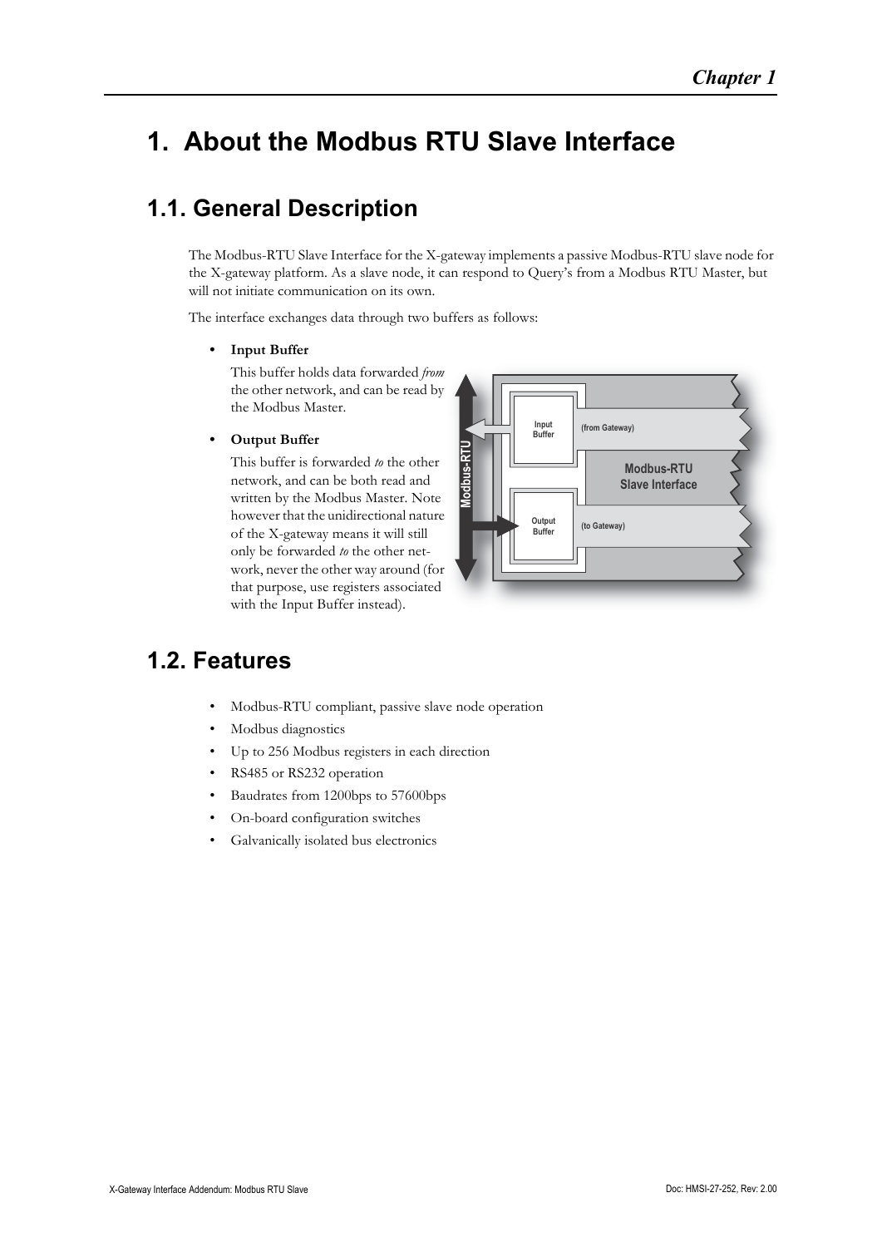# <span id="page-4-4"></span><span id="page-4-1"></span><span id="page-4-0"></span>**1. About the Modbus RTU Slave Interface**

# <span id="page-4-2"></span>**1.1. General Description**

The Modbus-RTU Slave Interface for the X-gateway implements a passive Modbus-RTU slave node for the X-gateway platform. As a slave node, it can respond to Query's from a Modbus RTU Master, but will not initiate communication on its own.

The interface exchanges data through two buffers as follows:

#### **• Input Buffer**

This buffer holds data forwarded *from* the other network, and can be read by the Modbus Master.

#### **• Output Buffer**

This buffer is forwarded *to* the other network, and can be both read and written by the Modbus Master. Note however that the unidirectional nature of the X-gateway means it will still only be forwarded *to* the other network, never the other way around (for that purpose, use registers associated with the Input Buffer instead).



### <span id="page-4-3"></span>**1.2. Features**

- Modbus-RTU compliant, passive slave node operation
- Modbus diagnostics
- Up to 256 Modbus registers in each direction
- RS485 or RS232 operation
- Baudrates from 1200bps to 57600bps
- On-board configuration switches
- Galvanically isolated bus electronics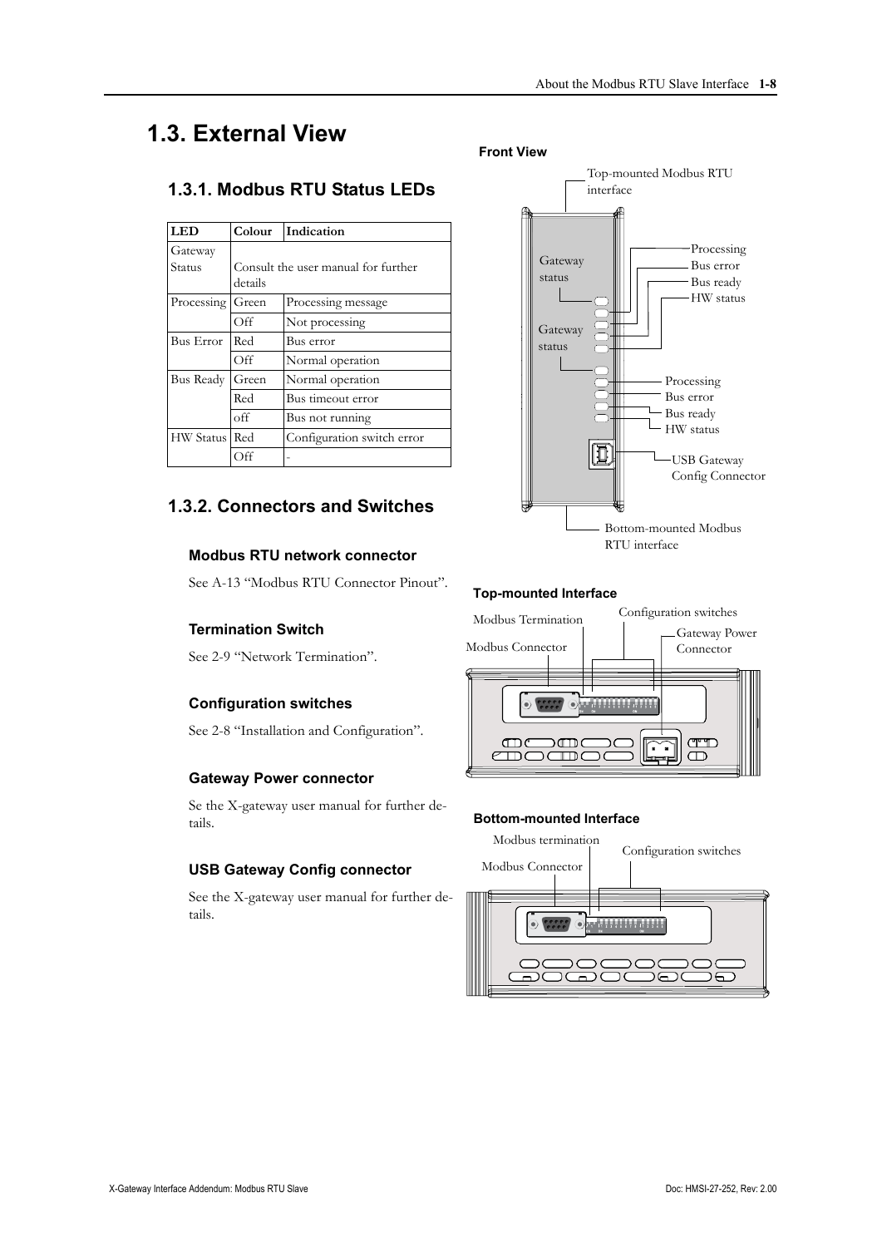# <span id="page-5-0"></span>**1.3. External View**

### <span id="page-5-1"></span>**1.3.1. Modbus RTU Status LEDs**

| <b>LED</b>       | Colour  | Indication                          |
|------------------|---------|-------------------------------------|
| Gateway          |         |                                     |
| Status           |         | Consult the user manual for further |
|                  | details |                                     |
| Processing       | Green   | Processing message                  |
|                  | Off     | Not processing                      |
| Bus Error        | Red     | Bus error                           |
|                  | Off     | Normal operation                    |
| Bus Ready        | Green   | Normal operation                    |
|                  | Red     | Bus timeout error                   |
|                  | off     | Bus not running                     |
| <b>HW</b> Status | Red     | Configuration switch error          |
|                  | Off     |                                     |

### <span id="page-5-2"></span>**1.3.2. Connectors and Switches**

#### **Modbus RTU network connector**

See [A-13 "Modbus RTU Connector Pinout"](#page-11-4).

#### **Termination Switch**

See [2-9 "Network Termination"](#page-7-3).

#### **Configuration switches**

See [2-8 "Installation and Configuration".](#page-6-4)

#### **Gateway Power connector**

Se the X-gateway user manual for further details.

#### **USB Gateway Config connector**

See the X-gateway user manual for further details.





#### **Top-mounted Interface**



#### **Bottom-mounted Interface**

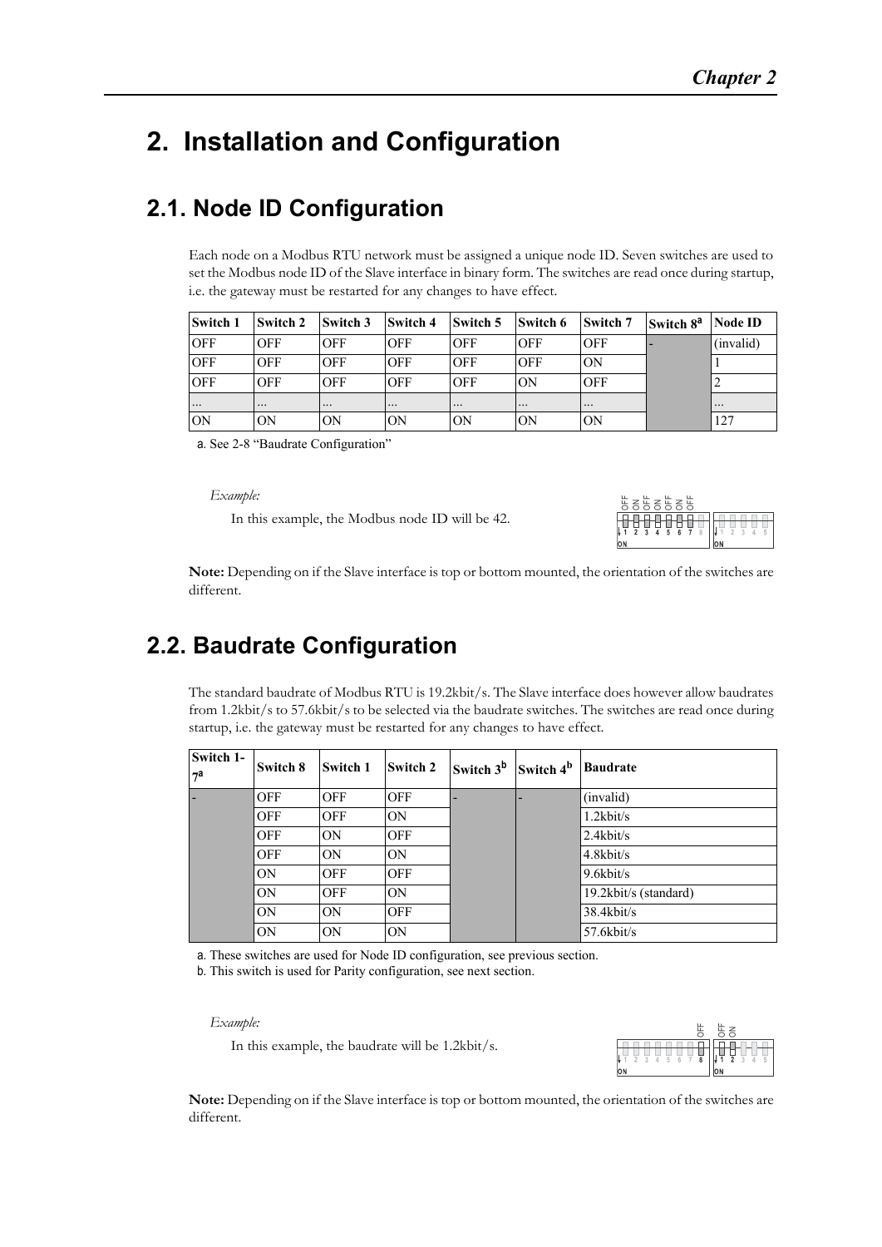# <span id="page-6-4"></span><span id="page-6-1"></span><span id="page-6-0"></span>**2. Installation and Configuration**

### <span id="page-6-2"></span>**2.1. Node ID Configuration**

Each node on a Modbus RTU network must be assigned a unique node ID. Seven switches are used to set the Modbus node ID of the Slave interface in binary form. The switches are read once during startup, i.e. the gateway must be restarted for any changes to have effect.

| <b>Switch 1</b> | Switch 2                | Switch 3   | <b>Switch 4</b>         | Switch 5   | Switch 6   | Switch 7                | Switch 8 <sup>a</sup> | <b>Node ID</b> |
|-----------------|-------------------------|------------|-------------------------|------------|------------|-------------------------|-----------------------|----------------|
| <b>OFF</b>      | <b>OFF</b>              | <b>OFF</b> | <b>OFF</b>              | <b>OFF</b> | <b>OFF</b> | <b>OFF</b>              |                       | (invalid)      |
| <b>OFF</b>      | <b>OFF</b>              | <b>OFF</b> | <b>OFF</b>              | <b>OFF</b> | <b>OFF</b> | ON                      |                       |                |
| <b>OFF</b>      | <b>OFF</b>              | <b>OFF</b> | <b>OFF</b>              | <b>OFF</b> | <b>ON</b>  | <b>OFF</b>              |                       |                |
| $\cdots$        | $\bullet\bullet\bullet$ |            | $\bullet\bullet\bullet$ | $\cdots$   |            | $\bullet\bullet\bullet$ |                       | $\cdots$       |
| <b>ION</b>      | ON                      | ON         | ON                      | ON         | ON         | ON                      |                       | 127            |

a. See [2-8 "Baudrate Configuration"](#page-6-3)

#### *Example:*



### <span id="page-6-3"></span>**2.2. Baudrate Configuration**

| $\Box \Lambda umpv.$        |            |                               |            | In this example, the Modbus node ID will be 42.                             |                       | 5858585<br>$4 - 5$<br><b>ON</b><br>ЮN                                                                                                                                                                           |
|-----------------------------|------------|-------------------------------|------------|-----------------------------------------------------------------------------|-----------------------|-----------------------------------------------------------------------------------------------------------------------------------------------------------------------------------------------------------------|
| different.                  |            |                               |            |                                                                             |                       | Note: Depending on if the Slave interface is top or bottom mounted, the orientation of the switches are                                                                                                         |
|                             |            | <b>Baudrate Configuration</b> |            |                                                                             |                       |                                                                                                                                                                                                                 |
|                             |            |                               |            | startup, i.e. the gateway must be restarted for any changes to have effect. |                       | The standard baudrate of Modbus RTU is 19.2kbit/s. The Slave interface does however allow baudrates<br>from 1.2kbit/s to 57.6kbit/s to be selected via the baudrate switches. The switches are read once during |
| Switch 1-<br>7 <sup>a</sup> | Switch 8   | Switch 1                      | Switch 2   | Switch 3 <sup>b</sup>                                                       | Switch 4 <sup>b</sup> | <b>Baudrate</b>                                                                                                                                                                                                 |
|                             | <b>OFF</b> | <b>OFF</b>                    | <b>OFF</b> |                                                                             |                       | (invalid)                                                                                                                                                                                                       |
|                             | OFF        | <b>OFF</b>                    | <b>ON</b>  |                                                                             |                       | $1.2$ kbit/s                                                                                                                                                                                                    |
|                             | OFF        | 0N                            | <b>OFF</b> |                                                                             |                       | $2.4$ kbit/s                                                                                                                                                                                                    |
|                             | OFF        | 0N                            | <b>ON</b>  |                                                                             |                       | 4.8kbit/s                                                                                                                                                                                                       |
|                             | ON         | <b>OFF</b>                    | <b>OFF</b> |                                                                             |                       | 9.6kbit/s                                                                                                                                                                                                       |
|                             | ΟN         | <b>OFF</b>                    | ON         |                                                                             |                       | 19.2kbit/s (standard)                                                                                                                                                                                           |
|                             | ΟN         | 0N                            | <b>OFF</b> |                                                                             |                       | 38.4kbit/s                                                                                                                                                                                                      |
|                             | ΟN         | ΟN                            | ON         |                                                                             |                       | 57.6kbit/s                                                                                                                                                                                                      |

a. These switches are used for Node ID configuration, see previous section.

<span id="page-6-5"></span>b. This switch is used for Parity configuration, see next section.

*Example:*

In this example, the baudrate will be 1.2kbit/s.



**Note:** Depending on if the Slave interface is top or bottom mounted, the orientation of the switches are different.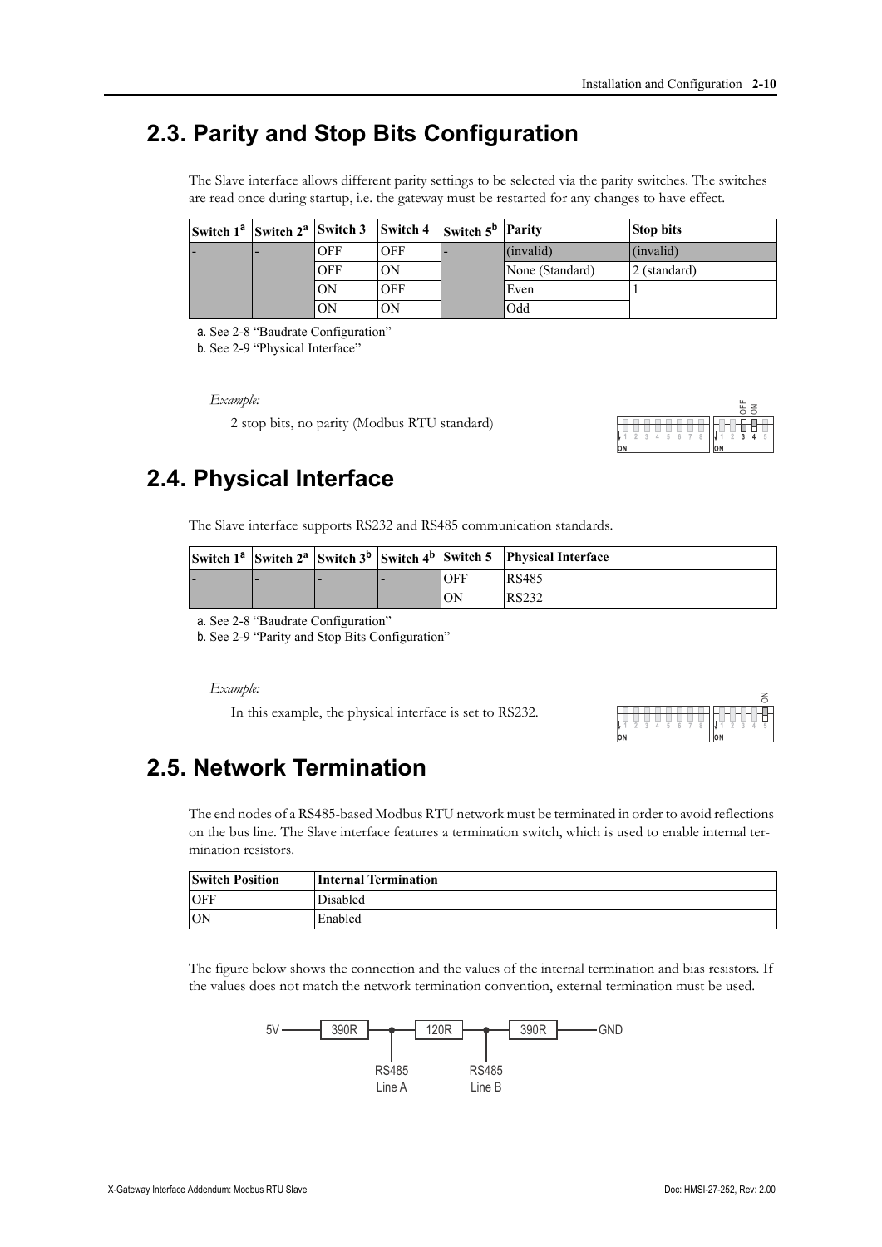### <span id="page-7-0"></span>**2.3. Parity and Stop Bits Configuration**

The Slave interface allows different parity settings to be selected via the parity switches. The switches are read once during startup, i.e. the gateway must be restarted for any changes to have effect.

| Switch $1^a$ Switch $2^a$ Switch 3 |            | <b>Switch 4</b> | Switch $5^b$ Parity |                 | <b>Stop bits</b>      |
|------------------------------------|------------|-----------------|---------------------|-----------------|-----------------------|
|                                    | <b>OFF</b> | OFF             |                     | (invalid)       | $\lim_{\text{valid}}$ |
|                                    | <b>OFF</b> | ON              |                     | None (Standard) | 2 (standard)          |
|                                    | ON         | OFF             |                     | Even            |                       |
|                                    | OΝ         | OΝ              |                     | Odd             |                       |

<span id="page-7-4"></span>a. See [2-8 "Baudrate Configuration"](#page-6-3)

b. See [2-9 "Physical Interface"](#page-7-1) 

*Example:*

2 stop bits, no parity (Modbus RTU standard)



### <span id="page-7-1"></span>**2.4. Physical Interface**

The Slave interface supports RS232 and RS485 communication standards.

|   |  |            | Switch $1^a$ Switch $2^a$ Switch $3^b$ Switch $4^b$ Switch 5 Physical Interface |
|---|--|------------|---------------------------------------------------------------------------------|
| - |  | <b>OFF</b> | RS485                                                                           |
|   |  | ON         | RS232                                                                           |

<span id="page-7-5"></span>a. See [2-8 "Baudrate Configuration"](#page-6-3)

<span id="page-7-6"></span>b. See [2-9 "Parity and Stop Bits Configuration"](#page-7-0)

#### *Example:*

<span id="page-7-3"></span>In this example, the physical interface is set to RS232.



### <span id="page-7-2"></span>**2.5. Network Termination**

The end nodes of a RS485-based Modbus RTU network must be terminated in order to avoid reflections on the bus line. The Slave interface features a termination switch, which is used to enable internal termination resistors.

| <b>Switch Position</b> | <b>Internal Termination</b> |
|------------------------|-----------------------------|
| <b>OFF</b>             | Disabled                    |
| ON                     | Enabled                     |

The figure below shows the connection and the values of the internal termination and bias resistors. If the values does not match the network termination convention, external termination must be used.

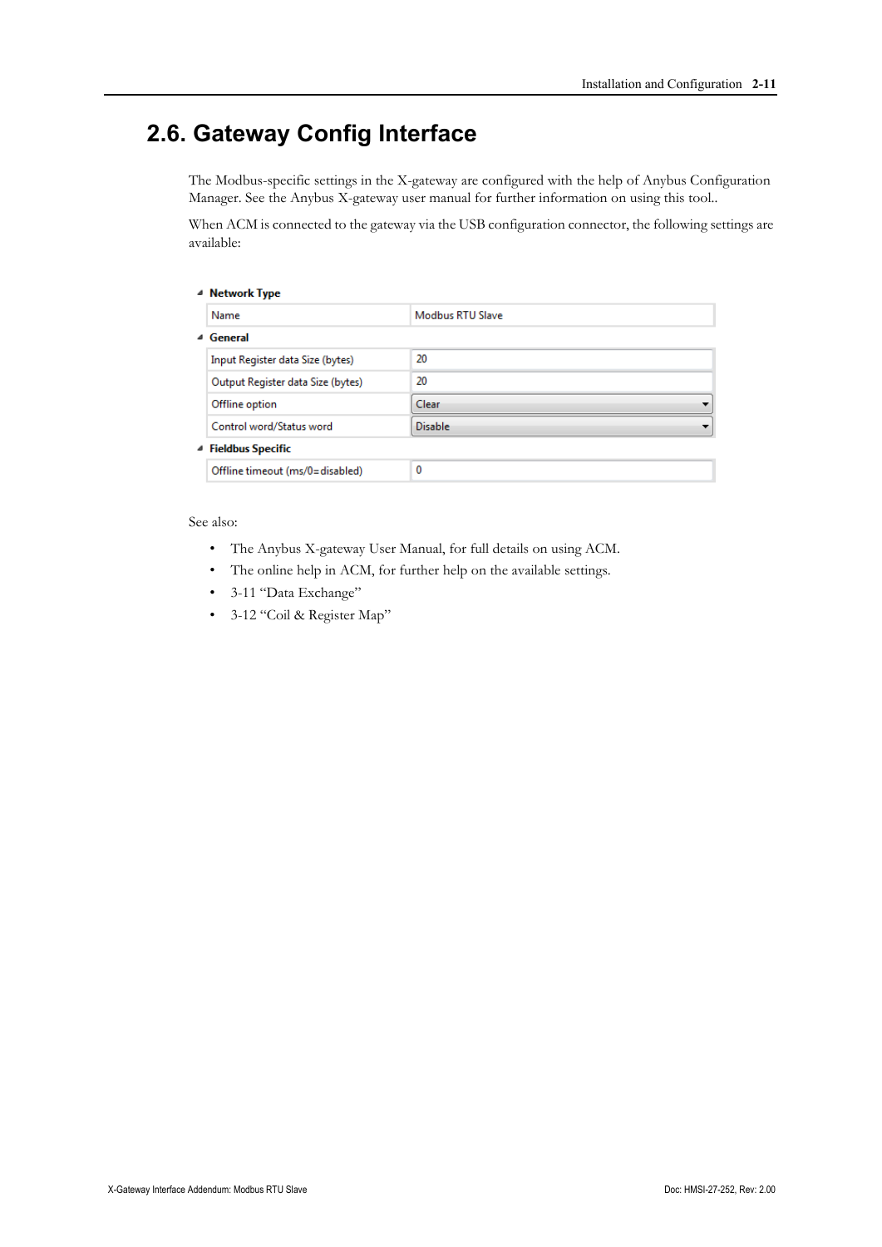# <span id="page-8-1"></span><span id="page-8-0"></span>**2.6. Gateway Config Interface**

The Modbus-specific settings in the X-gateway are configured with the help of Anybus Configuration Manager. See the Anybus X-gateway user manual for further information on using this tool..

When ACM is connected to the gateway via the USB configuration connector, the following settings are available:

| ⊿ Network Type                    |                         |
|-----------------------------------|-------------------------|
| Name                              | <b>Modbus RTU Slave</b> |
| 4 General                         |                         |
| Input Register data Size (bytes)  | 20                      |
| Output Register data Size (bytes) | 20                      |
| Offline option                    | Clear                   |
| Control word/Status word          | <b>Disable</b>          |
| 4 Fieldbus Specific               |                         |
| Offline timeout (ms/0=disabled)   | 0                       |

#### See also:

- The Anybus X-gateway User Manual, for full details on using ACM.
- The online help in ACM, for further help on the available settings.
- • [3-11 "Data Exchange"](#page-9-4)
- • [3-12 "Coil & Register Map"](#page-10-2)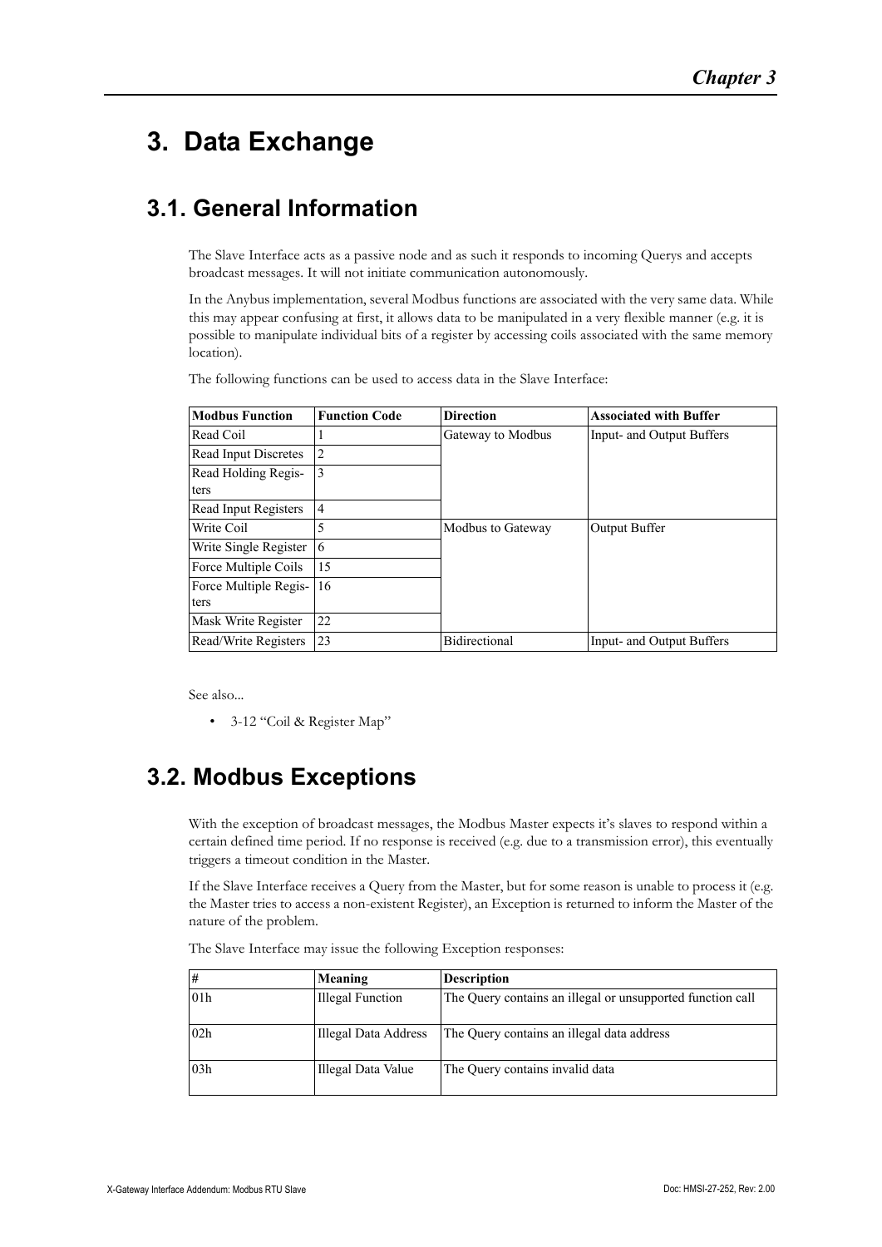# <span id="page-9-4"></span><span id="page-9-1"></span><span id="page-9-0"></span>**3. Data Exchange**

# <span id="page-9-2"></span>**3.1. General Information**

The Slave Interface acts as a passive node and as such it responds to incoming Querys and accepts broadcast messages. It will not initiate communication autonomously.

In the Anybus implementation, several Modbus functions are associated with the very same data. While this may appear confusing at first, it allows data to be manipulated in a very flexible manner (e.g. it is possible to manipulate individual bits of a register by accessing coils associated with the same memory location).

The following functions can be used to access data in the Slave Interface:

| <b>Modbus Function</b> | <b>Function Code</b> | <b>Direction</b>  | <b>Associated with Buffer</b> |
|------------------------|----------------------|-------------------|-------------------------------|
| Read Coil              |                      | Gateway to Modbus | Input- and Output Buffers     |
| Read Input Discretes   | 2                    |                   |                               |
| Read Holding Regis-    | 3                    |                   |                               |
| ters                   |                      |                   |                               |
| Read Input Registers   | $\overline{4}$       |                   |                               |
| Write Coil             | 5                    | Modbus to Gateway | Output Buffer                 |
| Write Single Register  | 6                    |                   |                               |
| Force Multiple Coils   | 15                   |                   |                               |
| Force Multiple Regis-  | 16                   |                   |                               |
| ters                   |                      |                   |                               |
| Mask Write Register    | 22                   |                   |                               |
| Read/Write Registers   | 23                   | Bidirectional     | Input- and Output Buffers     |

See also...

• [3-12 "Coil & Register Map"](#page-10-0)

# <span id="page-9-3"></span>**3.2. Modbus Exceptions**

With the exception of broadcast messages, the Modbus Master expects it's slaves to respond within a certain defined time period. If no response is received (e.g. due to a transmission error), this eventually triggers a timeout condition in the Master.

If the Slave Interface receives a Query from the Master, but for some reason is unable to process it (e.g. the Master tries to access a non-existent Register), an Exception is returned to inform the Master of the nature of the problem.

The Slave Interface may issue the following Exception responses:

| #   | Meaning              | <b>Description</b>                                         |
|-----|----------------------|------------------------------------------------------------|
| 01h | Illegal Function     | The Query contains an illegal or unsupported function call |
| 02h | Illegal Data Address | The Query contains an illegal data address                 |
| 03h | Illegal Data Value   | The Query contains invalid data                            |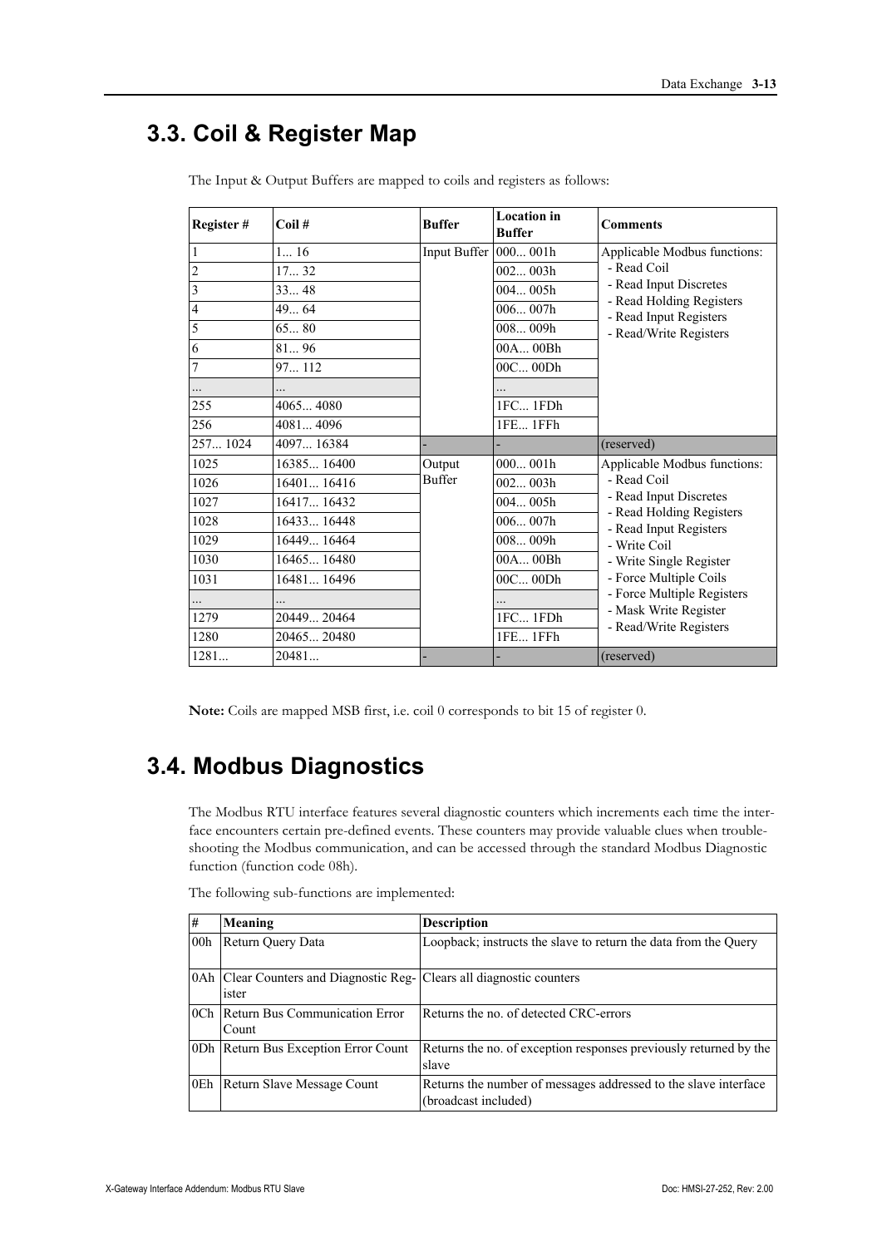## <span id="page-10-2"></span><span id="page-10-0"></span>**3.3. Coil & Register Map**

| Register#       | $Coil \#$   | <b>Buffer</b>           | <b>Location</b> in<br><b>Buffer</b> | <b>Comments</b>                                                    |
|-----------------|-------------|-------------------------|-------------------------------------|--------------------------------------------------------------------|
| $\mathbf{1}$    | 116         | Input Buffer $ 000001h$ |                                     | Applicable Modbus functions:                                       |
| $\overline{c}$  | 1732        |                         | 002003h                             | - Read Coil                                                        |
| $\overline{3}$  | 3348        |                         | 004005h                             | - Read Input Discretes                                             |
| $\sqrt{4}$      | 49.64       |                         | 006007h                             | - Read Holding Registers<br>- Read Input Registers                 |
| 5               | 6580        |                         | 008009h                             | - Read/Write Registers                                             |
| 6               | 8196        |                         | 00A00Bh                             |                                                                    |
| $7\phantom{.0}$ | 97 112      |                         | 00C00Dh                             |                                                                    |
|                 |             |                         |                                     |                                                                    |
| 255             | 40654080    |                         | 1FC 1FDh                            |                                                                    |
| 256             | 40814096    |                         | 1FE 1FFh                            |                                                                    |
| 257 1024        | 4097 16384  |                         |                                     | (reserved)                                                         |
| 1025            | 16385 16400 | Output                  | 000001h                             | Applicable Modbus functions:                                       |
| 1026            | 1640116416  | <b>Buffer</b>           | 002003h                             | - Read Coil                                                        |
| 1027            | 16417 16432 |                         | 004005h                             | - Read Input Discretes                                             |
| 1028            | 16433 16448 |                         | 006007h                             | - Read Holding Registers<br>- Read Input Registers<br>- Write Coil |
| 1029            | 16449 16464 |                         | 008009h                             |                                                                    |
| 1030            | 16465 16480 |                         | 00A00Bh                             | - Write Single Register                                            |
| 1031            | 16481 16496 |                         | 00C00Dh                             | - Force Multiple Coils                                             |
|                 |             |                         |                                     | - Force Multiple Registers                                         |
| 1279            | 2044920464  |                         | 1FC 1FDh                            | - Mask Write Register<br>- Read/Write Registers                    |
| 1280            | 2046520480  |                         | 1FE 1FFh                            |                                                                    |
| 1281            | 20481       |                         |                                     | (reserved)                                                         |

The Input & Output Buffers are mapped to coils and registers as follows:

**Note:** Coils are mapped MSB first, i.e. coil 0 corresponds to bit 15 of register 0.

### <span id="page-10-1"></span>**3.4. Modbus Diagnostics**

The Modbus RTU interface features several diagnostic counters which increments each time the interface encounters certain pre-defined events. These counters may provide valuable clues when troubleshooting the Modbus communication, and can be accessed through the standard Modbus Diagnostic function (function code 08h).

| #               | Meaning                                                                            | <b>Description</b>                                                                      |
|-----------------|------------------------------------------------------------------------------------|-----------------------------------------------------------------------------------------|
| 00 <sub>h</sub> | Return Query Data                                                                  | Loopback; instructs the slave to return the data from the Query                         |
|                 | 0Ah   Clear Counters and Diagnostic Reg-   Clears all diagnostic counters<br>ister |                                                                                         |
|                 | 0Ch Return Bus Communication Error<br>$\mathop{\rm Count}$                         | Returns the no. of detected CRC-errors                                                  |
|                 | 0Dh   Return Bus Exception Error Count                                             | Returns the no. of exception responses previously returned by the<br>slave              |
| 0Eh             | Return Slave Message Count                                                         | Returns the number of messages addressed to the slave interface<br>(broadcast included) |

The following sub-functions are implemented: